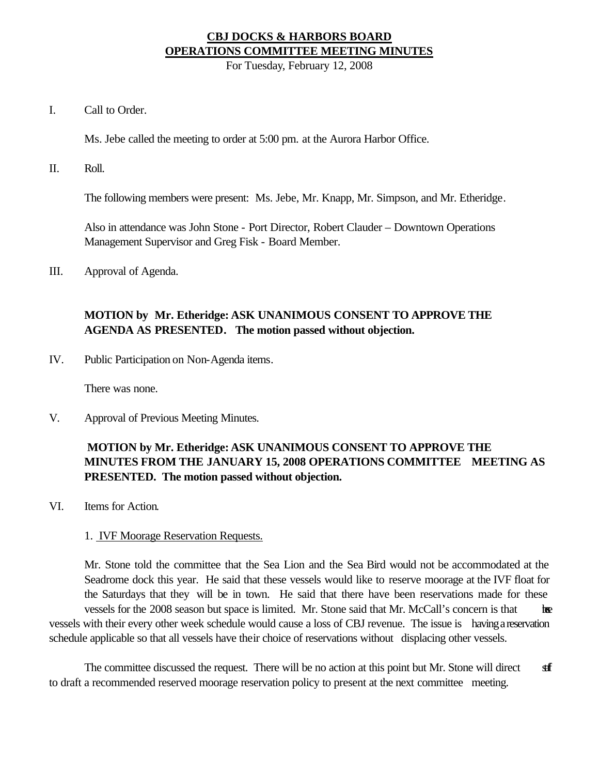### **CBJ DOCKS & HARBORS BOARD OPERATIONS COMMITTEE MEETING MINUTES**

For Tuesday, February 12, 2008

I. Call to Order.

Ms. Jebe called the meeting to order at 5:00 pm. at the Aurora Harbor Office.

II. Roll.

The following members were present: Ms. Jebe, Mr. Knapp, Mr. Simpson, and Mr. Etheridge.

Also in attendance was John Stone - Port Director, Robert Clauder – Downtown Operations Management Supervisor and Greg Fisk - Board Member.

III. Approval of Agenda.

### **MOTION by Mr. Etheridge: ASK UNANIMOUS CONSENT TO APPROVE THE AGENDA AS PRESENTED. The motion passed without objection.**

IV. Public Participation on Non-Agenda items.

There was none.

V. Approval of Previous Meeting Minutes.

## **MOTION by Mr. Etheridge: ASK UNANIMOUS CONSENT TO APPROVE THE MINUTES FROM THE JANUARY 15, 2008 OPERATIONS COMMITTEE MEETING AS PRESENTED. The motion passed without objection.**

VI. Items for Action.

#### 1. IVF Moorage Reservation Requests.

Mr. Stone told the committee that the Sea Lion and the Sea Bird would not be accommodated at the Seadrome dock this year. He said that these vessels would like to reserve moorage at the IVF float for the Saturdays that they will be in town. He said that there have been reservations made for these vessels for the 2008 season but space is limited. Mr. Stone said that Mr. McCall's concern is that the vessels with their every other week schedule would cause a loss of CBJ revenue. The issue is having a reservation schedule applicable so that all vessels have their choice of reservations without displacing other vessels.

The committee discussed the request. There will be no action at this point but Mr. Stone will direct staff to draft a recommended reserved moorage reservation policy to present at the next committee meeting.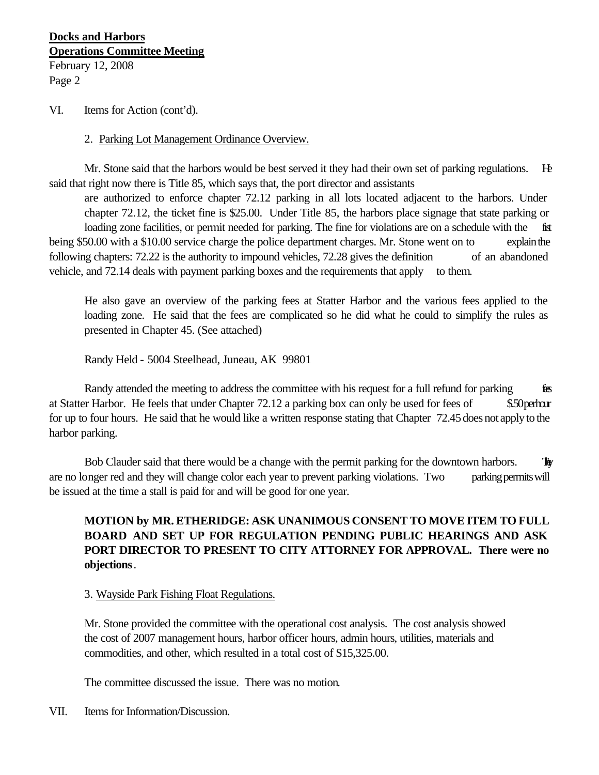### **Docks and Harbors Operations Committee Meeting** February 12, 2008

Page 2

#### VI. Items for Action (cont'd).

#### 2. Parking Lot Management Ordinance Overview.

Mr. Stone said that the harbors would be best served it they had their own set of parking regulations. He said that right now there is Title 85, which says that, the port director and assistants

are authorized to enforce chapter 72.12 parking in all lots located adjacent to the harbors. Under chapter 72.12, the ticket fine is \$25.00. Under Title 85, the harbors place signage that state parking or loading zone facilities, or permit needed for parking. The fine for violations are on a schedule with the first being \$50.00 with a \$10.00 service charge the police department charges. Mr. Stone went on to explain the following chapters: 72.22 is the authority to impound vehicles, 72.28 gives the definition of an abandoned vehicle, and 72.14 deals with payment parking boxes and the requirements that apply to them.

He also gave an overview of the parking fees at Statter Harbor and the various fees applied to the loading zone. He said that the fees are complicated so he did what he could to simplify the rules as presented in Chapter 45. (See attached)

Randy Held - 5004 Steelhead, Juneau, AK 99801

Randy attended the meeting to address the committee with his request for a full refund for parking fees at Statter Harbor. He feels that under Chapter 72.12 a parking box can only be used for fees of \$50 per hour for up to four hours. He said that he would like a written response stating that Chapter 72.45 does not apply to the harbor parking.

Bob Clauder said that there would be a change with the permit parking for the downtown harbors. They are no longer red and they will change color each year to prevent parking violations. Two parking permits will be issued at the time a stall is paid for and will be good for one year.

## **MOTION by MR. ETHERIDGE: ASK UNANIMOUS CONSENT TO MOVE ITEM TO FULL BOARD AND SET UP FOR REGULATION PENDING PUBLIC HEARINGS AND ASK PORT DIRECTOR TO PRESENT TO CITY ATTORNEY FOR APPROVAL. There were no objections**.

#### 3. Wayside Park Fishing Float Regulations.

Mr. Stone provided the committee with the operational cost analysis. The cost analysis showed the cost of 2007 management hours, harbor officer hours, admin hours, utilities, materials and commodities, and other, which resulted in a total cost of \$15,325.00.

The committee discussed the issue. There was no motion.

#### VII. Items for Information/Discussion.